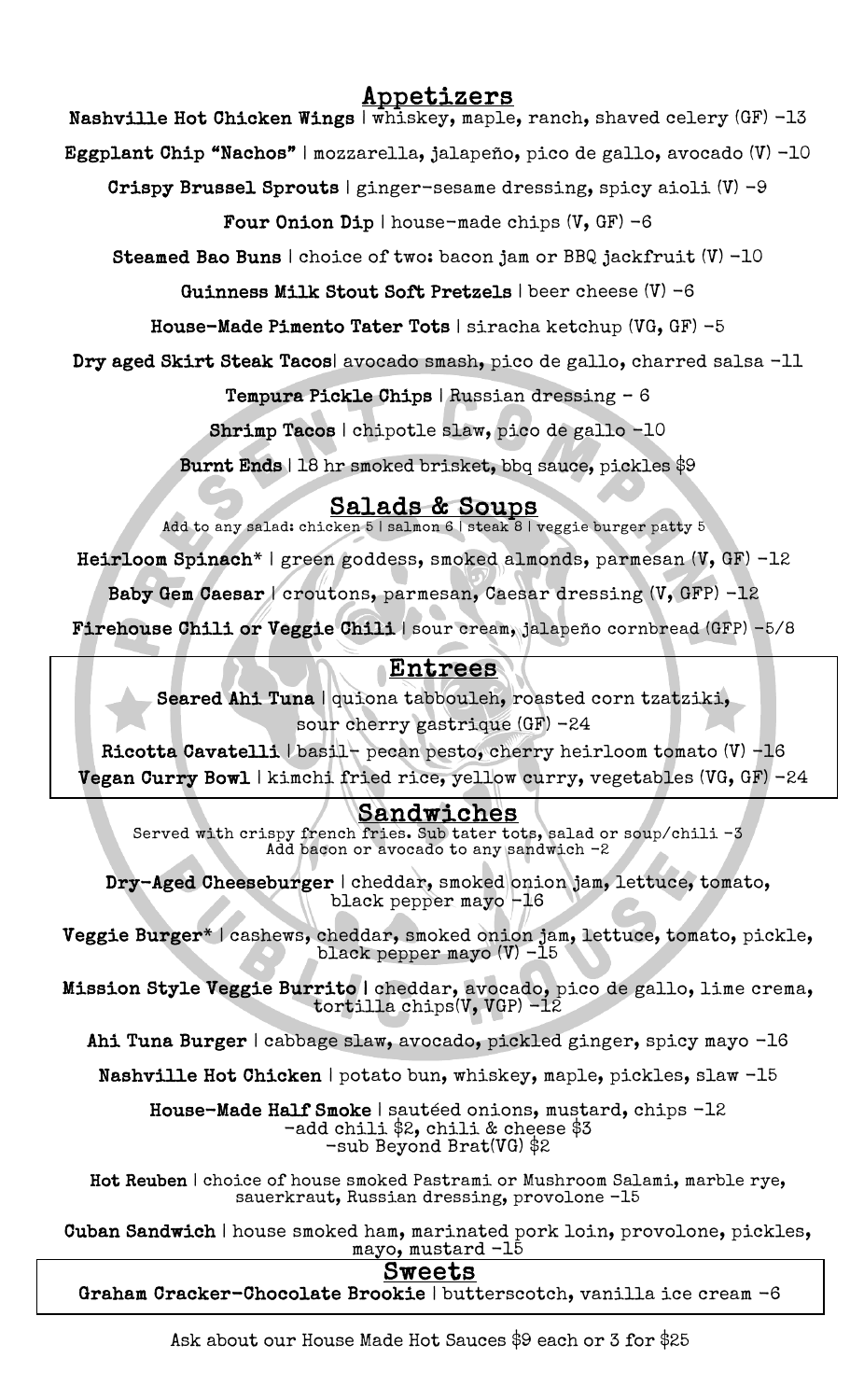# Appetizers

Nashville Hot Chicken Wings | whiskey, maple, ranch, shaved celery (GF) -13

Eggplant Chip "Nachos" | mozzarella, jalapeño, pico de gallo, avocado (V) -10

Crispy Brussel Sprouts | ginger-sesame dressing, spicy aioli (V) -9

Four Onion Dip | house-made chips  $(V, GF) -6$ 

Steamed Bao Buns | choice of two: bacon jam or BBQ jackfruit (V) -10

Guinness Milk Stout Soft Pretzels | beer cheese (V) -6

House-Made Pimento Tater Tots | siracha ketchup (VG, GF) -5

Dry aged Skirt Steak Tacos| avocado smash, pico de gallo, charred salsa -11

Tempura Pickle Chips | Russian dressing – 6

Shrimp Tacos | chipotle slaw, pico de gallo -10

Burnt Ends | 18 hr smoked brisket, bbq sauce, pickles \$9

Salads & Soups<br>Add to any salad: chicken 5 | salmon 6 | steak 8 | veggie burger patty 5

Heirloom Spinach\* | green goddess, smoked almonds, parmesan (V, GF) -12

Baby Gem Caesar | croutons, parmesan, Caesar dressing (V, GFP) -12

 $\frac{1}{2}$ Firehouse Chili or Veggie Chili | sour cream, jalapeño cornbread (GFP) -5/8

## Entrees

 Seared Ahi Tuna | quiona tabbouleh, roasted corn tzatziki, sour cherry gastrique (GF) -24

Ricotta Cavatelli | basil- pecan pesto, cherry heirloom tomato (V) -16

ء<br>س Vegan Curry Bowl | kimchi fried rice, yellow curry, vegetables (VG, GF) -24

## Sandwiches

ો<br>d Sandwiches Served with crispy french fries. Sub tater tots, salad or soup/chili -3 Add bacon or avocado to any sandwich -2

 $\mathbf{r}$ I cheddar, smoked oni<br>black pepper mayo -16 Dry-Aged Cheeseburger | cheddar, smoked onion jam, lettuce, tomato,

E. ׆<br>׆  $\overline{\phantom{a}}$ Veggie Burger\* | cashews, cheddar, smoked onion jam, lettuce, tomato, pickle, black pepper mayo (V) -15

Mission Style Veggie Burrito | cheddar, avocado, pico de gallo, lime crema,<br>tentilla abina(V VCP) -12 tortilla chips(V, VGP) -12

Ahi Tuna Burger | cabbage slaw, avocado, pickled ginger, spicy mayo -16

.<br>נו Nashville Hot Chicken | potato bun, whiskey, maple, pickles, slaw -15

Ĩ alf Smoke | sautéed onions, musta<br>-add chili \$2, chili & cheese \$3 -sub Beyond Brat(VG) \$2 House-Made Half Smoke | sautéed onions, mustard, chips -12

 Hot Reuben | choice of house smoked Pastrami or Mushroom Salami, marble rye, sauerkraut, Russian dressing, provolone -15

 Cuban Sandwich | house smoked ham, marinated pork loin, provolone, pickles, n mam, marinated p<br>mayo, mustard -15

## Sweets

Sweets<br>Graham Cracker-Chocolate Brookie | butterscotch, vanilla ice cream -6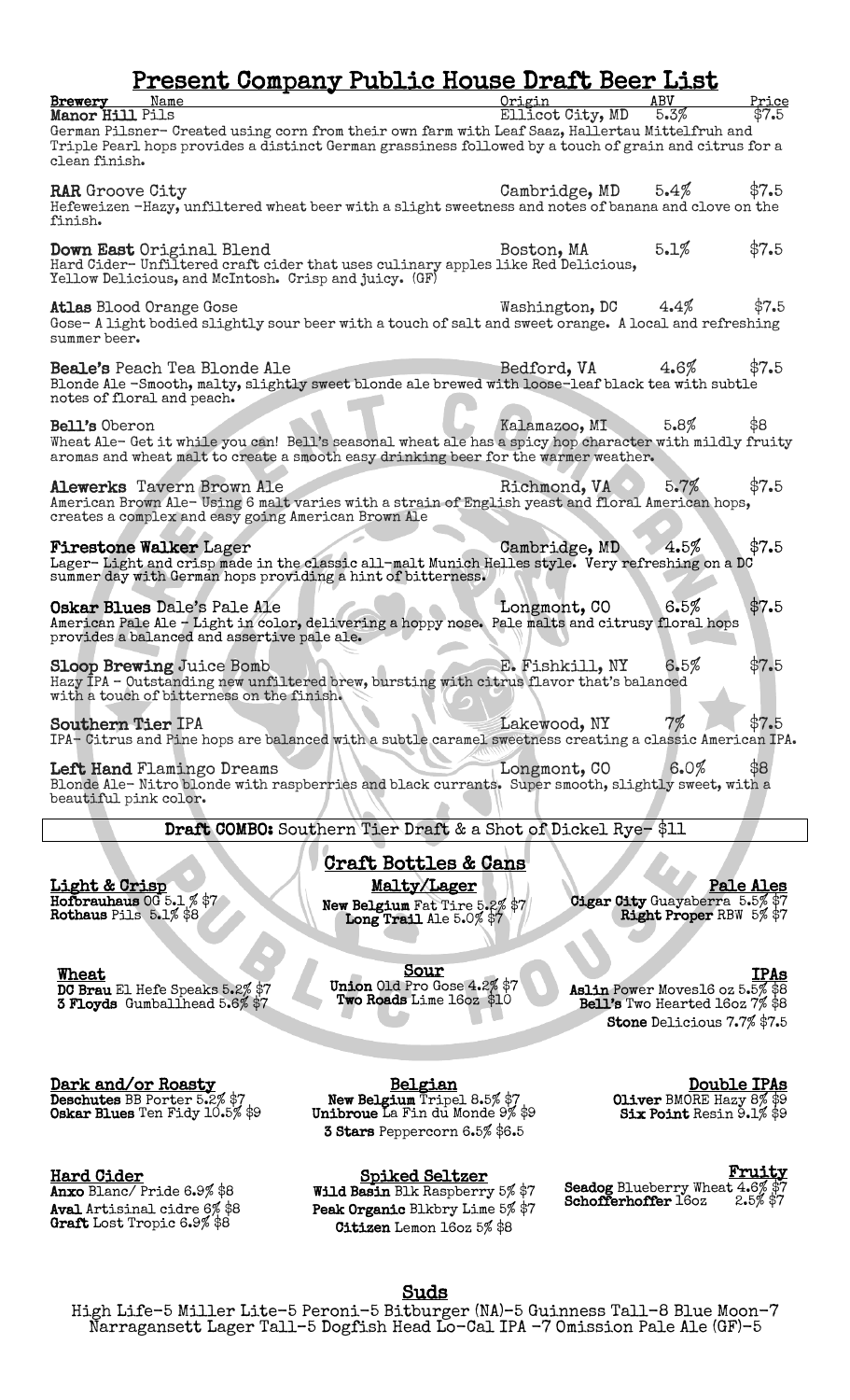## Present Company Public House Draft Beer List

| Brewery<br>Manor Hill Pils                                   | Name                                                                                                                                                                                                     | Origin<br>Ellicot City, MD | ABV<br>5.3% | Price<br>\$7.5 |
|--------------------------------------------------------------|----------------------------------------------------------------------------------------------------------------------------------------------------------------------------------------------------------|----------------------------|-------------|----------------|
| clean finish.                                                | German Pilsner- Created using corn from their own farm with Leaf Saaz, Hallertau Mittelfruh and<br>Triple Pearl hops provides a distinct German grassiness followed by a touch of grain and citrus for a |                            |             |                |
| <b>RAR</b> Groove City<br>finish.                            | Hefeweizen -Hazy, unfiltered wheat beer with a slight sweetness and notes of banana and clove on the                                                                                                     | Cambridge, MD              | 5.4%        | \$7.5          |
|                                                              | Down East Original Blend<br>Hard Cider-Unfiltered craft cider that uses culinary apples like Red Delicious,<br>Yellow Delicious, and McIntosh. Crisp and juicy. (GF)                                     | Boston, MA                 | 5.1%        | \$7.5          |
| summer beer.                                                 | <b>Atlas Blood Orange Gose</b><br>Gose-A light bodied slightly sour beer with a touch of salt and sweet orange. A local and refreshing                                                                   | Washington, DC             | 4.4%        | \$7.5          |
| notes of floral and peach.                                   | <b>Beale's</b> Peach Tea Blonde Ale<br>Blonde Ale -Smooth, malty, slightly sweet blonde ale brewed with loose-leaf black tea with subtle                                                                 | Bedford, VA                | 4.6%        | \$7.5          |
| Bell's Oberon                                                | Wheat Ale- Get it while you can! Bell's seasonal wheat ale has a spicy hop character with mildly fruity<br>aromas and wheat malt to create a smooth easy drinking beer for the warmer weather.           | Kalamazoo, MI              | 5.8%        | \$8            |
|                                                              | Alewerks Tavern Brown Ale<br>American Brown Ale-Using 6 malt varies with a strain of English yeast and floral American hops,<br>creates a complex and easy going American Brown Ale                      | Richmond, VA               | 5.7%        | \$7.5          |
|                                                              | <b>Firestone Walker Lager</b><br>Lager-Light and crisp made in the classic all-malt Munich Helles style. Very refreshing on a DC<br>summer day with German hops providing a hint of bitterness.          | Cambridge, MD              | 4.5%        | \$7.5          |
|                                                              | Oskar Blues Dale's Pale Ale<br>American Pale Ale - Light in color, delivering a hoppy nose. Pale malts and citrusy floral hops<br>provides a balanced and assertive pale ale.                            | Longmont, CO               | 6.5%        | \$7.5          |
|                                                              | <b>Sloop Brewing Juice Bomb</b><br>Hazy IPA - Outstanding new unfiltered brew, bursting with citrus flavor that's balanced<br>with a touch of bitterness on the finish.                                  | E. Fishkill, NY            | 6.5%        | \$7.5          |
| <b>Southern Tier IPA</b>                                     | IPA- Citrus and Pine hops are balanced with a subtle caramel sweetness creating a classic American IPA.                                                                                                  | Lakewood, NY               | 7%          | \$7.5          |
| beautiful pink color.                                        | Left Hand Flamingo Dreams<br>Blonde Ale-Nitro blonde with raspberries and black currants. Super smooth, slightly sweet, with a                                                                           | Longmont, CO               | 6.0%        | \$8            |
| Draft COMBO: Southern Tier Draft & a Shot of Dickel Rye-\$11 |                                                                                                                                                                                                          |                            |             |                |
| <u>Craft Bottles &amp; Cans</u>                              |                                                                                                                                                                                                          |                            |             |                |
| Light & Crisp                                                | Malty/Lager                                                                                                                                                                                              |                            |             | Pale Ales      |

Hofbrauhaus OG 5.1 % \$7 Rothaus Pils 5.1% \$8

 $\overline{\phantom{a}}$ 

Wheat<br>DC Brau El Hefe Speaks 5.2% \$7<br>3 Floyds Gumballhead 5.6% \$7

New Belgium Fat Tire 5.2% \$7<br>Long Trail Ale 5.0% \$7

Sour<br>Union Old Pro Gose 4.2% \$7 Two Roads Lime 16oz \$10

Gigar City Guayaberra 5.5% \$7<br>Right Proper RBW 5% \$7

Æ

Belgian<br>New Belgium Tripel 8.5% \$7<br>Unibroue La Fin du Monde 9% \$9 3 Stars Peppercorn 6.5% \$6.5

Hard Cider

Anxo Blanc/ Pride 6.9% \$8<br>Aval Artisinal cidre 6% \$8 Graft Lost Tropic 6.9% \$8

**Dark and/or Roasty<br>Deschutes** BB Porter 5.2% \$7 Oskar Blues Ten Fidy 10.5% \$9

> Spiked Seltzer<br>Wild Basin Blk Raspberry 5% \$7 Peak Organic Blkbry Lime 5% \$7 Citizen Lemon 16oz 5% \$8

IPAs<br>Aslin Power Moves16 oz 5.5% \$8 Bell's Two Hearted 16oz 7% \$8 Stone Delicious 7.7% \$7.5

> **Double IPAs**<br>Oliver BMORE Hazy 8% \$9 Six Point Resin 9.1% \$9

**Fruity**<br>Seadog Blueberry Wheat 4.6% \$7<br>Schofferhoffer 16oz 2.5% \$7

Suds<br>High Life-5 Miller Lite-5 Peroni-5 Bitburger (NA)-5 Guinness Tall-8 Blue Moon-7 Narragansett Lager Tall–5 Dogfish Head Lo-Cal IPA -7 Omission Pale Ale (GF)-5